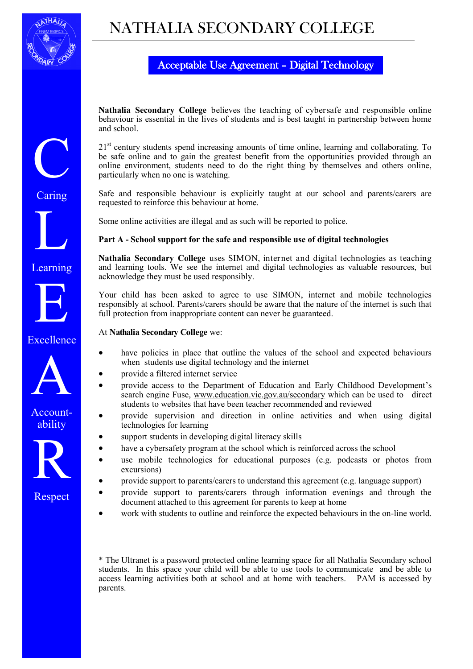

C

Caring

L

Learning

E

Excellence

A

Accountability

R

Respect

## NATHALIA SECONDARY COLLEGE

## Acceptable Use Agreement – Digital Technology

**Nathalia Secondary College** believes the teaching of cybersafe and responsible online behaviour is essential in the lives of students and is best taught in partnership between home and school.

21<sup>st</sup> century students spend increasing amounts of time online, learning and collaborating. To be safe online and to gain the greatest benefit from the opportunities provided through an online environment, students need to do the right thing by themselves and others online, particularly when no one is watching.

Safe and responsible behaviour is explicitly taught at our school and parents/carers are requested to reinforce this behaviour at home.

Some online activities are illegal and as such will be reported to police.

## **Part A - School support for the safe and responsible use of digital technologies**

**Nathalia Secondary College** uses SIMON, internet and digital technologies as teaching and learning tools. We see the internet and digital technologies as valuable resources, but acknowledge they must be used responsibly.

Your child has been asked to agree to use SIMON, internet and mobile technologies responsibly at school. Parents/carers should be aware that the nature of the internet is such that full protection from inappropriate content can never be guaranteed.

At **Nathalia Secondary College** we:

- have policies in place that outline the values of the school and expected behaviours when students use digital technology and the internet
- provide a filtered internet service
- provide access to the Department of Education and Early Childhood Development's search engine Fuse, [www.education.vic.gov.au/secondary](http://www.education.vic.gov.au/secondary) which can be used to direct students to websites that have been teacher recommended and reviewed
- provide supervision and direction in online activities and when using digital technologies for learning
- support students in developing digital literacy skills
- have a cybersafety program at the school which is reinforced across the school
- use mobile technologies for educational purposes (e.g. podcasts or photos from excursions)
- provide support to parents/carers to understand this agreement (e.g. language support)
- provide support to parents/carers through information evenings and through the document attached to this agreement for parents to keep at home
- work with students to outline and reinforce the expected behaviours in the on-line world.

\* The Ultranet is a password protected online learning space for all Nathalia Secondary school students. In this space your child will be able to use tools to communicate and be able to access learning activities both at school and at home with teachers. PAM is accessed by parents.